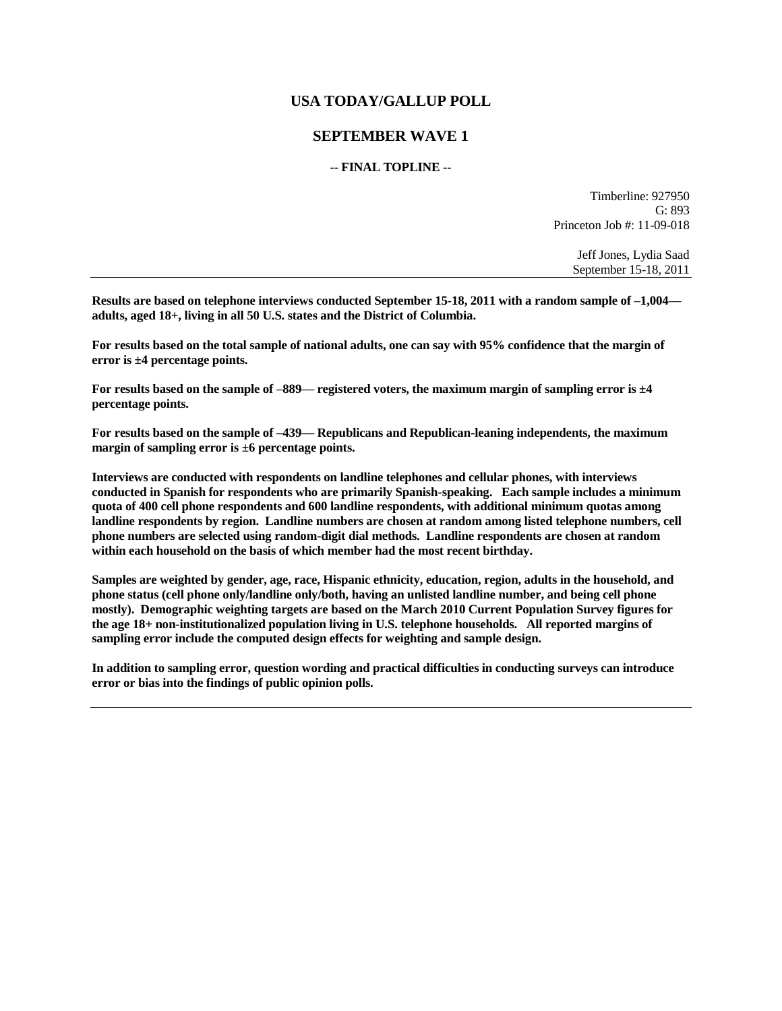# **USA TODAY/GALLUP POLL**

## **SEPTEMBER WAVE 1**

### **-- FINAL TOPLINE --**

Timberline: 927950 G: 893 Princeton Job #: 11-09-018

> Jeff Jones, Lydia Saad September 15-18, 2011

**Results are based on telephone interviews conducted September 15-18, 2011 with a random sample of –1,004 adults, aged 18+, living in all 50 U.S. states and the District of Columbia.** 

**For results based on the total sample of national adults, one can say with 95% confidence that the margin of error is ±4 percentage points.**

**For results based on the sample of –889— registered voters, the maximum margin of sampling error is ±4 percentage points.**

**For results based on the sample of –439— Republicans and Republican-leaning independents, the maximum margin of sampling error is ±6 percentage points.**

**Interviews are conducted with respondents on landline telephones and cellular phones, with interviews conducted in Spanish for respondents who are primarily Spanish-speaking. Each sample includes a minimum quota of 400 cell phone respondents and 600 landline respondents, with additional minimum quotas among landline respondents by region. Landline numbers are chosen at random among listed telephone numbers, cell phone numbers are selected using random-digit dial methods. Landline respondents are chosen at random within each household on the basis of which member had the most recent birthday.** 

**Samples are weighted by gender, age, race, Hispanic ethnicity, education, region, adults in the household, and phone status (cell phone only/landline only/both, having an unlisted landline number, and being cell phone mostly). Demographic weighting targets are based on the March 2010 Current Population Survey figures for the age 18+ non-institutionalized population living in U.S. telephone households. All reported margins of sampling error include the computed design effects for weighting and sample design.** 

**In addition to sampling error, question wording and practical difficulties in conducting surveys can introduce error or bias into the findings of public opinion polls.**